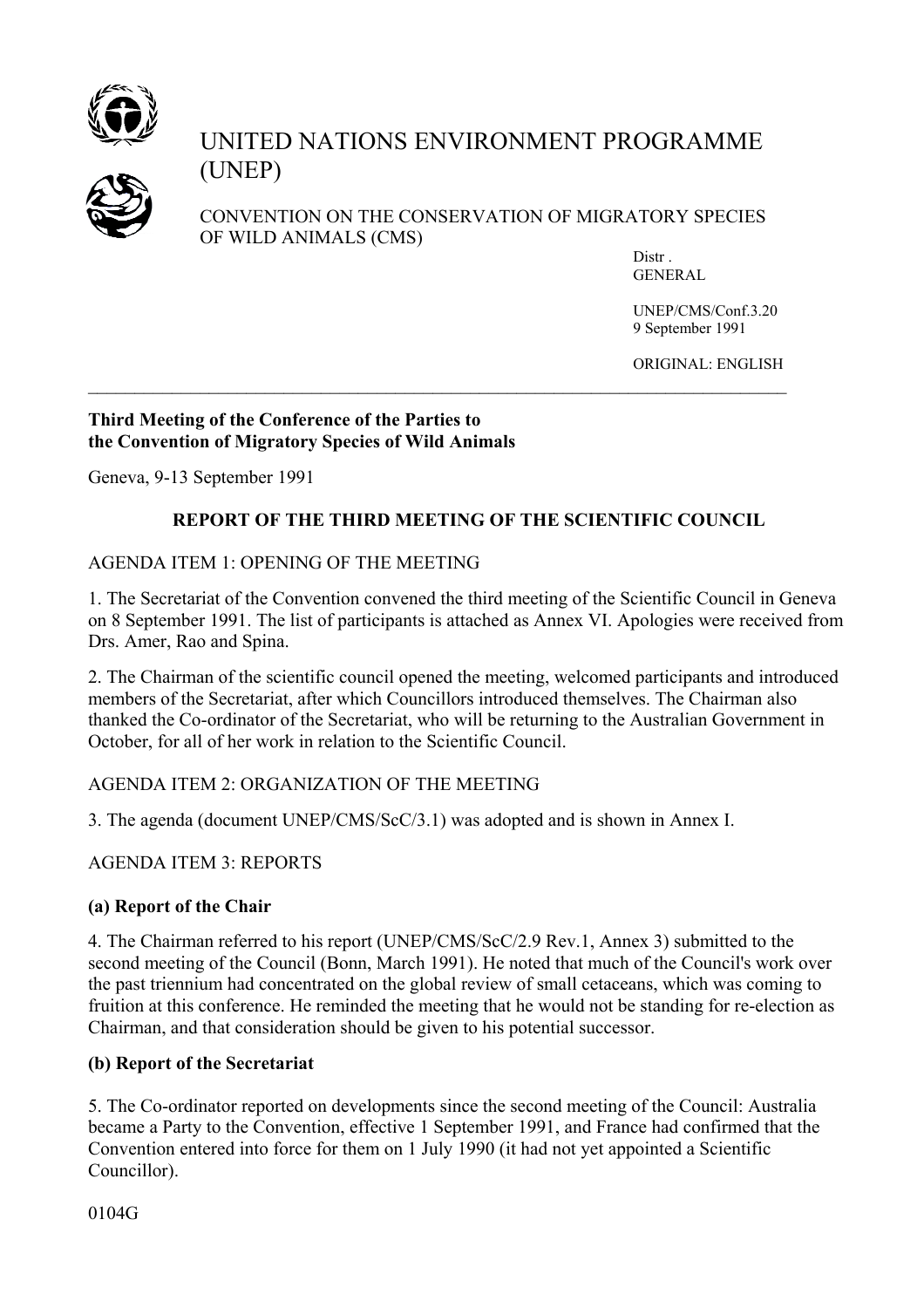

# UNITED NATIONS ENVIRONMENT PROGRAMME (UNEP)



 CONVENTION ON THE CONSERVATION OF MIGRATORY SPECIES OF WILD ANIMALS (CMS)

> Distr . GENERAL

UNEP/CMS/Conf.3.20 9 September 1991

ORIGINAL: ENGLISH

### **Third Meeting of the Conference of the Parties to the Convention of Migratory Species of Wild Animals**

Geneva, 9-13 September 1991

## **REPORT OF THE THIRD MEETING OF THE SCIENTIFIC COUNCIL**

 $\mathcal{L}_\mathcal{L} = \{ \mathcal{L}_\mathcal{L} = \{ \mathcal{L}_\mathcal{L} = \{ \mathcal{L}_\mathcal{L} = \{ \mathcal{L}_\mathcal{L} = \{ \mathcal{L}_\mathcal{L} = \{ \mathcal{L}_\mathcal{L} = \{ \mathcal{L}_\mathcal{L} = \{ \mathcal{L}_\mathcal{L} = \{ \mathcal{L}_\mathcal{L} = \{ \mathcal{L}_\mathcal{L} = \{ \mathcal{L}_\mathcal{L} = \{ \mathcal{L}_\mathcal{L} = \{ \mathcal{L}_\mathcal{L} = \{ \mathcal{L}_\mathcal{$ 

## AGENDA ITEM 1: OPENING OF THE MEETING

1. The Secretariat of the Convention convened the third meeting of the Scientific Council in Geneva on 8 September 1991. The list of participants is attached as Annex VI. Apologies were received from Drs. Amer, Rao and Spina.

2. The Chairman of the scientific council opened the meeting, welcomed participants and introduced members of the Secretariat, after which Councillors introduced themselves. The Chairman also thanked the Co-ordinator of the Secretariat, who will be returning to the Australian Government in October, for all of her work in relation to the Scientific Council.

## AGENDA ITEM 2: ORGANIZATION OF THE MEETING

3. The agenda (document UNEP/CMS/ScC/3.1) was adopted and is shown in Annex I.

## AGENDA ITEM 3: REPORTS

## **(a) Report of the Chair**

4. The Chairman referred to his report (UNEP/CMS/ScC/2.9 Rev.1, Annex 3) submitted to the second meeting of the Council (Bonn, March 1991). He noted that much of the Council's work over the past triennium had concentrated on the global review of small cetaceans, which was coming to fruition at this conference. He reminded the meeting that he would not be standing for re-election as Chairman, and that consideration should be given to his potential successor.

## **(b) Report of the Secretariat**

5. The Co-ordinator reported on developments since the second meeting of the Council: Australia became a Party to the Convention, effective 1 September 1991, and France had confirmed that the Convention entered into force for them on 1 July 1990 (it had not yet appointed a Scientific Councillor).

0104G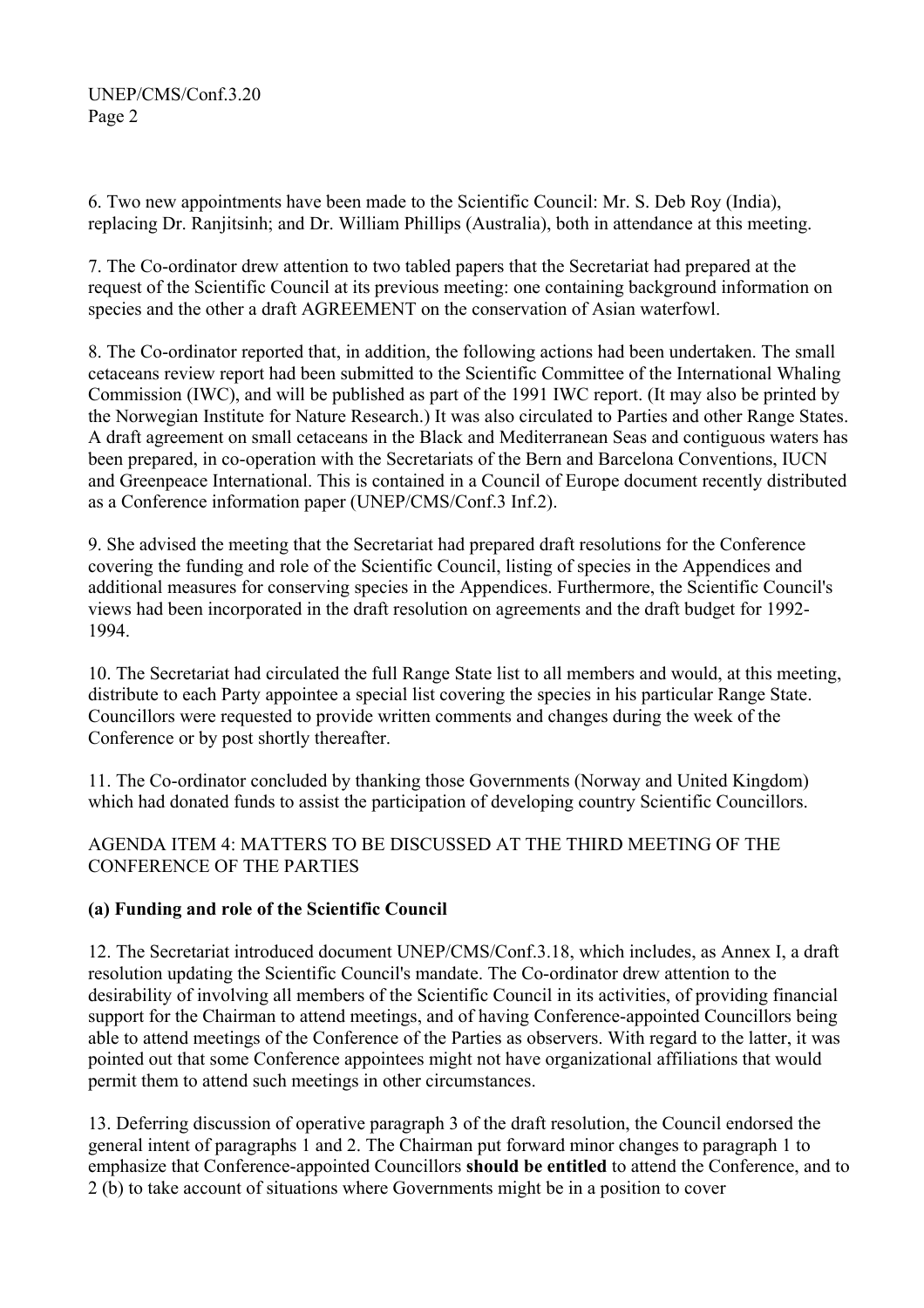6. Two new appointments have been made to the Scientific Council: Mr. S. Deb Roy (India), replacing Dr. Ranjitsinh; and Dr. William Phillips (Australia), both in attendance at this meeting.

7. The Co-ordinator drew attention to two tabled papers that the Secretariat had prepared at the request of the Scientific Council at its previous meeting: one containing background information on species and the other a draft AGREEMENT on the conservation of Asian waterfowl.

8. The Co-ordinator reported that, in addition, the following actions had been undertaken. The small cetaceans review report had been submitted to the Scientific Committee of the International Whaling Commission (IWC), and will be published as part of the 1991 IWC report. (It may also be printed by the Norwegian Institute for Nature Research.) It was also circulated to Parties and other Range States. A draft agreement on small cetaceans in the Black and Mediterranean Seas and contiguous waters has been prepared, in co-operation with the Secretariats of the Bern and Barcelona Conventions, IUCN and Greenpeace International. This is contained in a Council of Europe document recently distributed as a Conference information paper (UNEP/CMS/Conf.3 Inf.2).

9. She advised the meeting that the Secretariat had prepared draft resolutions for the Conference covering the funding and role of the Scientific Council, listing of species in the Appendices and additional measures for conserving species in the Appendices. Furthermore, the Scientific Council's views had been incorporated in the draft resolution on agreements and the draft budget for 1992- 1994.

10. The Secretariat had circulated the full Range State list to all members and would, at this meeting, distribute to each Party appointee a special list covering the species in his particular Range State. Councillors were requested to provide written comments and changes during the week of the Conference or by post shortly thereafter.

11. The Co-ordinator concluded by thanking those Governments (Norway and United Kingdom) which had donated funds to assist the participation of developing country Scientific Councillors.

AGENDA ITEM 4: MATTERS TO BE DISCUSSED AT THE THIRD MEETING OF THE CONFERENCE OF THE PARTIES

## **(a) Funding and role of the Scientific Council**

12. The Secretariat introduced document UNEP/CMS/Conf.3.18, which includes, as Annex I, a draft resolution updating the Scientific Council's mandate. The Co-ordinator drew attention to the desirability of involving all members of the Scientific Council in its activities, of providing financial support for the Chairman to attend meetings, and of having Conference-appointed Councillors being able to attend meetings of the Conference of the Parties as observers. With regard to the latter, it was pointed out that some Conference appointees might not have organizational affiliations that would permit them to attend such meetings in other circumstances.

13. Deferring discussion of operative paragraph 3 of the draft resolution, the Council endorsed the general intent of paragraphs 1 and 2. The Chairman put forward minor changes to paragraph 1 to emphasize that Conference-appointed Councillors **should be entitled** to attend the Conference, and to 2 (b) to take account of situations where Governments might be in a position to cover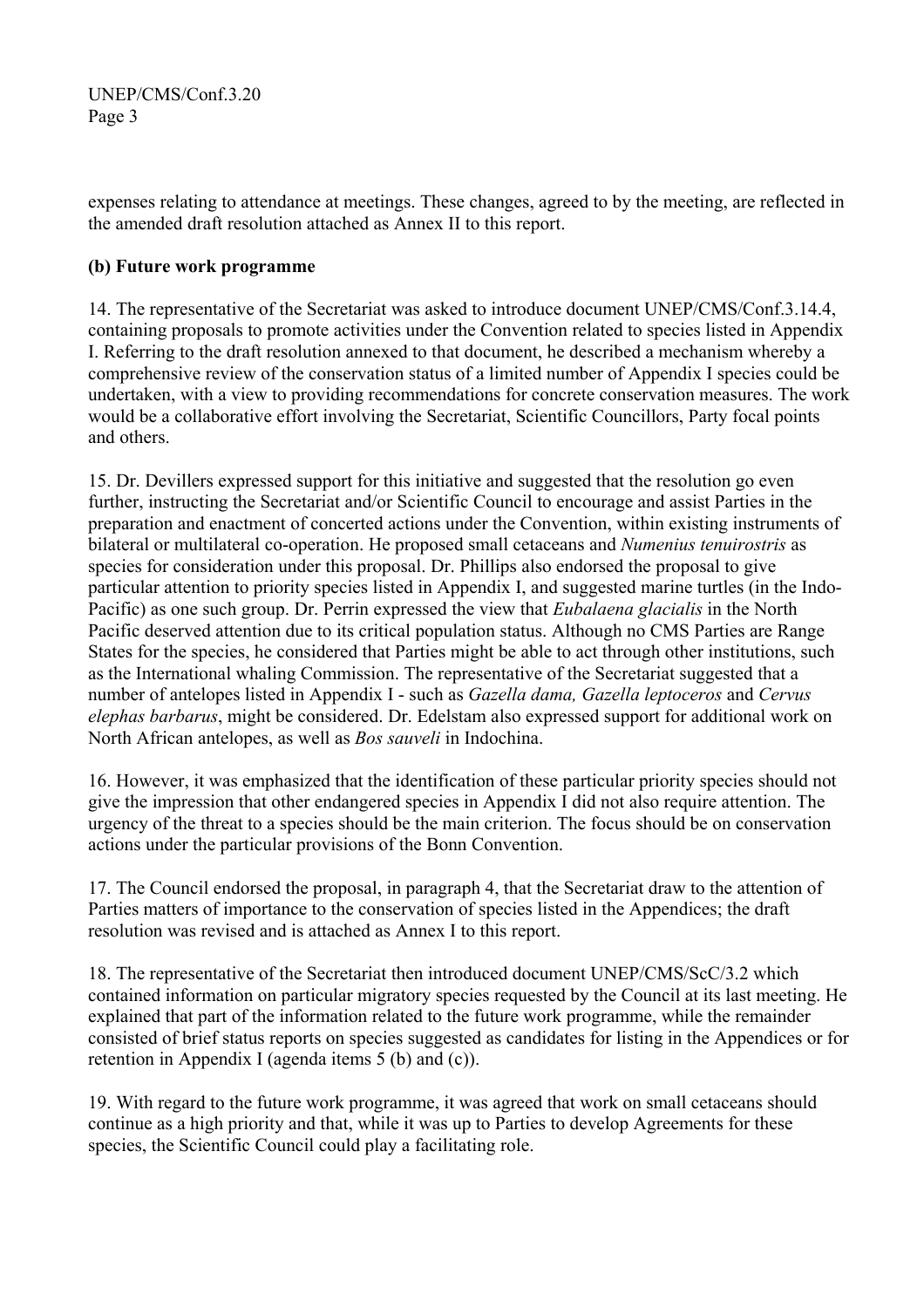expenses relating to attendance at meetings. These changes, agreed to by the meeting, are reflected in the amended draft resolution attached as Annex II to this report.

## **(b) Future work programme**

14. The representative of the Secretariat was asked to introduce document UNEP/CMS/Conf.3.14.4, containing proposals to promote activities under the Convention related to species listed in Appendix I. Referring to the draft resolution annexed to that document, he described a mechanism whereby a comprehensive review of the conservation status of a limited number of Appendix I species could be undertaken, with a view to providing recommendations for concrete conservation measures. The work would be a collaborative effort involving the Secretariat, Scientific Councillors, Party focal points and others.

15. Dr. Devillers expressed support for this initiative and suggested that the resolution go even further, instructing the Secretariat and/or Scientific Council to encourage and assist Parties in the preparation and enactment of concerted actions under the Convention, within existing instruments of bilateral or multilateral co-operation. He proposed small cetaceans and *Numenius tenuirostris* as species for consideration under this proposal. Dr. Phillips also endorsed the proposal to give particular attention to priority species listed in Appendix I, and suggested marine turtles (in the Indo-Pacific) as one such group. Dr. Perrin expressed the view that *Eubalaena glacialis* in the North Pacific deserved attention due to its critical population status. Although no CMS Parties are Range States for the species, he considered that Parties might be able to act through other institutions, such as the International whaling Commission. The representative of the Secretariat suggested that a number of antelopes listed in Appendix I - such as *Gazella dama, Gazella leptoceros* and *Cervus elephas barbarus*, might be considered. Dr. Edelstam also expressed support for additional work on North African antelopes, as well as *Bos sauveli* in Indochina.

16. However, it was emphasized that the identification of these particular priority species should not give the impression that other endangered species in Appendix I did not also require attention. The urgency of the threat to a species should be the main criterion. The focus should be on conservation actions under the particular provisions of the Bonn Convention.

17. The Council endorsed the proposal, in paragraph 4, that the Secretariat draw to the attention of Parties matters of importance to the conservation of species listed in the Appendices; the draft resolution was revised and is attached as Annex I to this report.

18. The representative of the Secretariat then introduced document UNEP/CMS/ScC/3.2 which contained information on particular migratory species requested by the Council at its last meeting. He explained that part of the information related to the future work programme, while the remainder consisted of brief status reports on species suggested as candidates for listing in the Appendices or for retention in Appendix I (agenda items 5 (b) and (c)).

19. With regard to the future work programme, it was agreed that work on small cetaceans should continue as a high priority and that, while it was up to Parties to develop Agreements for these species, the Scientific Council could play a facilitating role.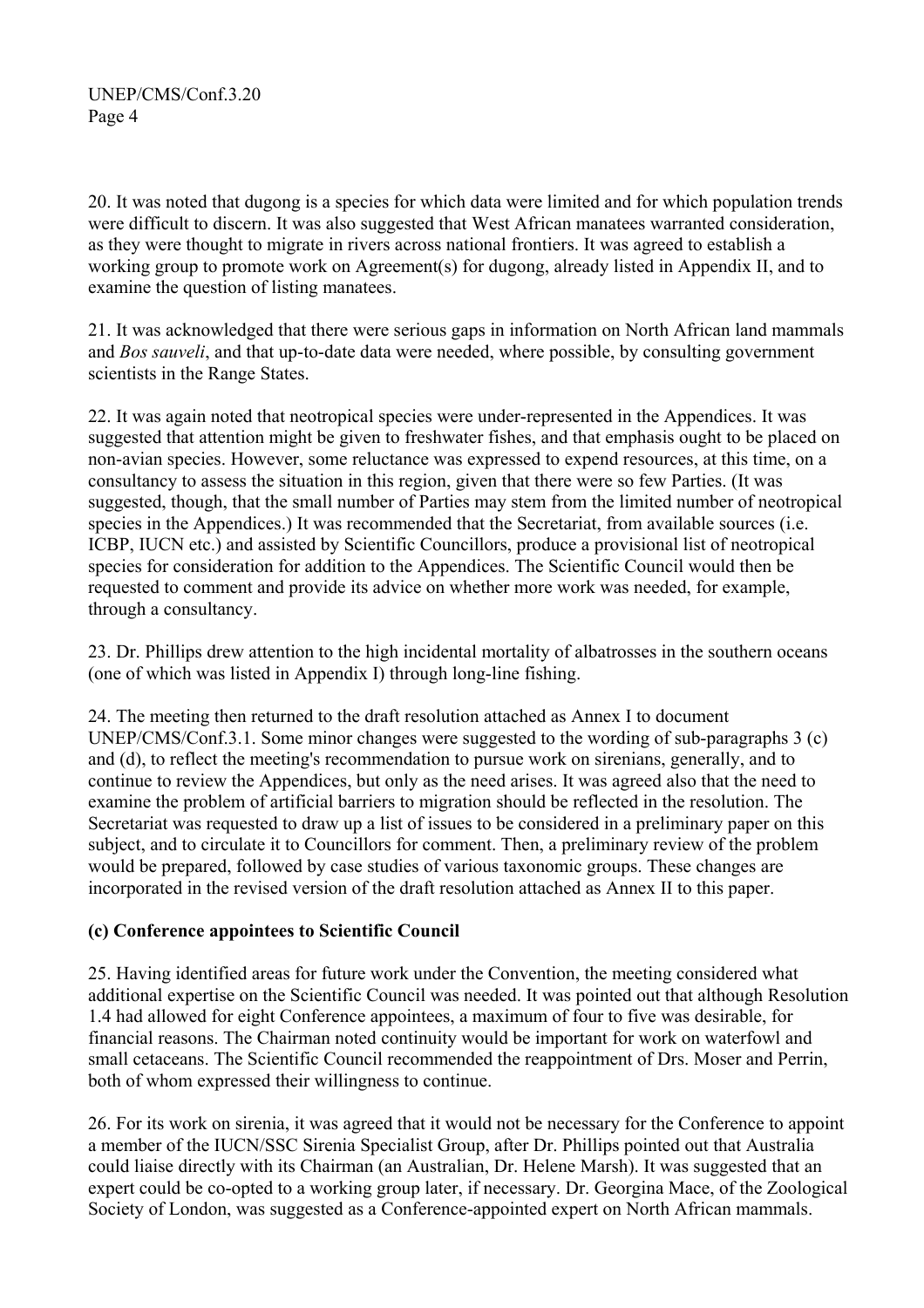20. It was noted that dugong is a species for which data were limited and for which population trends were difficult to discern. It was also suggested that West African manatees warranted consideration, as they were thought to migrate in rivers across national frontiers. It was agreed to establish a working group to promote work on Agreement(s) for dugong, already listed in Appendix II, and to examine the question of listing manatees.

21. It was acknowledged that there were serious gaps in information on North African land mammals and *Bos sauveli*, and that up-to-date data were needed, where possible, by consulting government scientists in the Range States.

22. It was again noted that neotropical species were under-represented in the Appendices. It was suggested that attention might be given to freshwater fishes, and that emphasis ought to be placed on non-avian species. However, some reluctance was expressed to expend resources, at this time, on a consultancy to assess the situation in this region, given that there were so few Parties. (It was suggested, though, that the small number of Parties may stem from the limited number of neotropical species in the Appendices.) It was recommended that the Secretariat, from available sources (i.e. ICBP, IUCN etc.) and assisted by Scientific Councillors, produce a provisional list of neotropical species for consideration for addition to the Appendices. The Scientific Council would then be requested to comment and provide its advice on whether more work was needed, for example, through a consultancy.

23. Dr. Phillips drew attention to the high incidental mortality of albatrosses in the southern oceans (one of which was listed in Appendix I) through long-line fishing.

24. The meeting then returned to the draft resolution attached as Annex I to document UNEP/CMS/Conf.3.1. Some minor changes were suggested to the wording of sub-paragraphs 3 (c) and (d), to reflect the meeting's recommendation to pursue work on sirenians, generally, and to continue to review the Appendices, but only as the need arises. It was agreed also that the need to examine the problem of artificial barriers to migration should be reflected in the resolution. The Secretariat was requested to draw up a list of issues to be considered in a preliminary paper on this subject, and to circulate it to Councillors for comment. Then, a preliminary review of the problem would be prepared, followed by case studies of various taxonomic groups. These changes are incorporated in the revised version of the draft resolution attached as Annex II to this paper.

### **(c) Conference appointees to Scientific Council**

25. Having identified areas for future work under the Convention, the meeting considered what additional expertise on the Scientific Council was needed. It was pointed out that although Resolution 1.4 had allowed for eight Conference appointees, a maximum of four to five was desirable, for financial reasons. The Chairman noted continuity would be important for work on waterfowl and small cetaceans. The Scientific Council recommended the reappointment of Drs. Moser and Perrin, both of whom expressed their willingness to continue.

26. For its work on sirenia, it was agreed that it would not be necessary for the Conference to appoint a member of the IUCN/SSC Sirenia Specialist Group, after Dr. Phillips pointed out that Australia could liaise directly with its Chairman (an Australian, Dr. Helene Marsh). It was suggested that an expert could be co-opted to a working group later, if necessary. Dr. Georgina Mace, of the Zoological Society of London, was suggested as a Conference-appointed expert on North African mammals.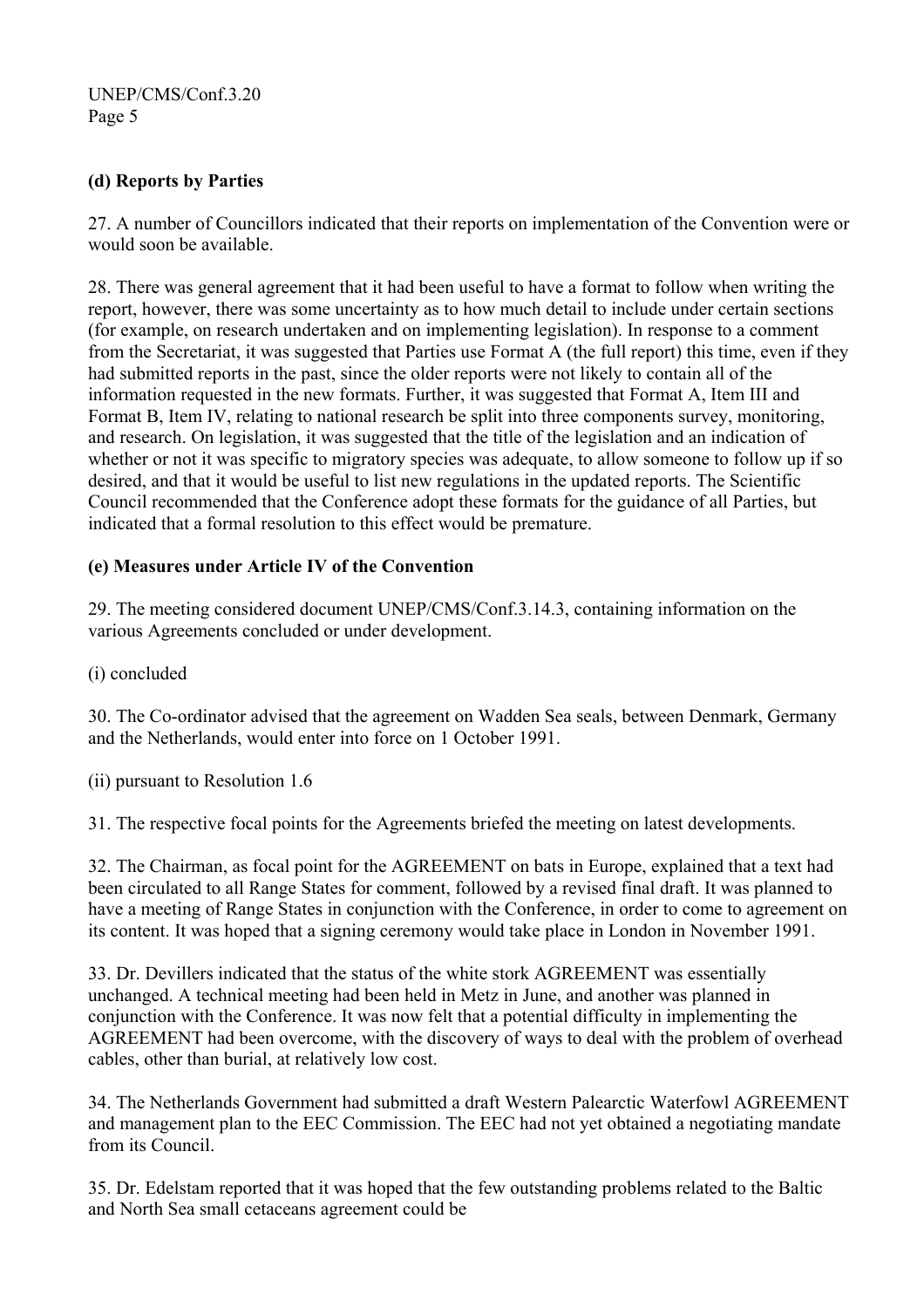## **(d) Reports by Parties**

27. A number of Councillors indicated that their reports on implementation of the Convention were or would soon be available.

28. There was general agreement that it had been useful to have a format to follow when writing the report, however, there was some uncertainty as to how much detail to include under certain sections (for example, on research undertaken and on implementing legislation). In response to a comment from the Secretariat, it was suggested that Parties use Format A (the full report) this time, even if they had submitted reports in the past, since the older reports were not likely to contain all of the information requested in the new formats. Further, it was suggested that Format A, Item III and Format B, Item IV, relating to national research be split into three components survey, monitoring, and research. On legislation, it was suggested that the title of the legislation and an indication of whether or not it was specific to migratory species was adequate, to allow someone to follow up if so desired, and that it would be useful to list new regulations in the updated reports. The Scientific Council recommended that the Conference adopt these formats for the guidance of all Parties, but indicated that a formal resolution to this effect would be premature.

## **(e) Measures under Article IV of the Convention**

29. The meeting considered document UNEP/CMS/Conf.3.14.3, containing information on the various Agreements concluded or under development.

(i) concluded

30. The Co-ordinator advised that the agreement on Wadden Sea seals, between Denmark, Germany and the Netherlands, would enter into force on 1 October 1991.

(ii) pursuant to Resolution 1.6

31. The respective focal points for the Agreements briefed the meeting on latest developments.

32. The Chairman, as focal point for the AGREEMENT on bats in Europe, explained that a text had been circulated to all Range States for comment, followed by a revised final draft. It was planned to have a meeting of Range States in conjunction with the Conference, in order to come to agreement on its content. It was hoped that a signing ceremony would take place in London in November 1991.

33. Dr. Devillers indicated that the status of the white stork AGREEMENT was essentially unchanged. A technical meeting had been held in Metz in June, and another was planned in conjunction with the Conference. It was now felt that a potential difficulty in implementing the AGREEMENT had been overcome, with the discovery of ways to deal with the problem of overhead cables, other than burial, at relatively low cost.

34. The Netherlands Government had submitted a draft Western Palearctic Waterfowl AGREEMENT and management plan to the EEC Commission. The EEC had not yet obtained a negotiating mandate from its Council.

35. Dr. Edelstam reported that it was hoped that the few outstanding problems related to the Baltic and North Sea small cetaceans agreement could be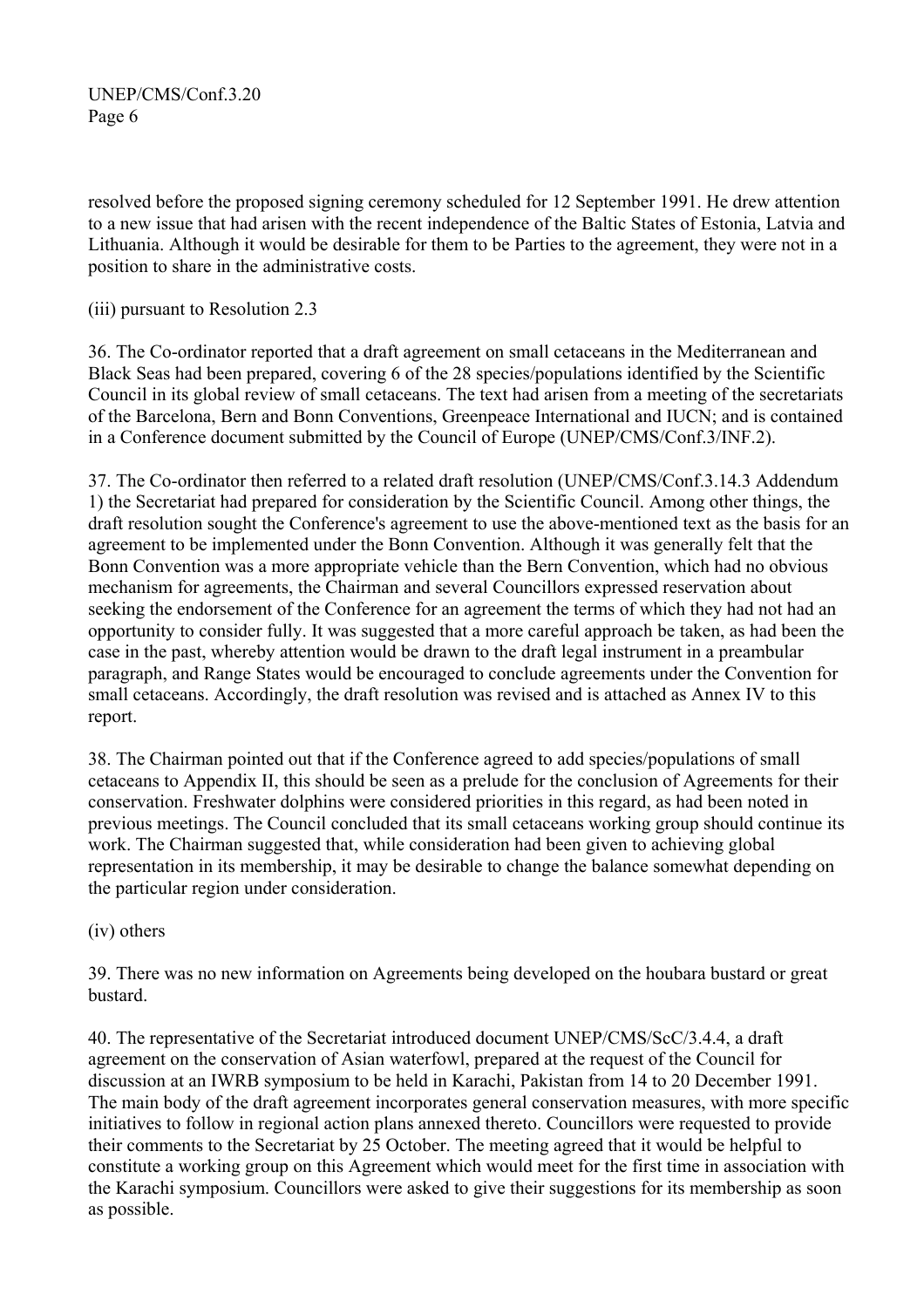resolved before the proposed signing ceremony scheduled for 12 September 1991. He drew attention to a new issue that had arisen with the recent independence of the Baltic States of Estonia, Latvia and Lithuania. Although it would be desirable for them to be Parties to the agreement, they were not in a position to share in the administrative costs.

(iii) pursuant to Resolution 2.3

36. The Co-ordinator reported that a draft agreement on small cetaceans in the Mediterranean and Black Seas had been prepared, covering 6 of the 28 species/populations identified by the Scientific Council in its global review of small cetaceans. The text had arisen from a meeting of the secretariats of the Barcelona, Bern and Bonn Conventions, Greenpeace International and IUCN; and is contained in a Conference document submitted by the Council of Europe (UNEP/CMS/Conf.3/INF.2).

37. The Co-ordinator then referred to a related draft resolution (UNEP/CMS/Conf.3.14.3 Addendum 1) the Secretariat had prepared for consideration by the Scientific Council. Among other things, the draft resolution sought the Conference's agreement to use the above-mentioned text as the basis for an agreement to be implemented under the Bonn Convention. Although it was generally felt that the Bonn Convention was a more appropriate vehicle than the Bern Convention, which had no obvious mechanism for agreements, the Chairman and several Councillors expressed reservation about seeking the endorsement of the Conference for an agreement the terms of which they had not had an opportunity to consider fully. It was suggested that a more careful approach be taken, as had been the case in the past, whereby attention would be drawn to the draft legal instrument in a preambular paragraph, and Range States would be encouraged to conclude agreements under the Convention for small cetaceans. Accordingly, the draft resolution was revised and is attached as Annex IV to this report.

38. The Chairman pointed out that if the Conference agreed to add species/populations of small cetaceans to Appendix II, this should be seen as a prelude for the conclusion of Agreements for their conservation. Freshwater dolphins were considered priorities in this regard, as had been noted in previous meetings. The Council concluded that its small cetaceans working group should continue its work. The Chairman suggested that, while consideration had been given to achieving global representation in its membership, it may be desirable to change the balance somewhat depending on the particular region under consideration.

(iv) others

39. There was no new information on Agreements being developed on the houbara bustard or great bustard.

40. The representative of the Secretariat introduced document UNEP/CMS/ScC/3.4.4, a draft agreement on the conservation of Asian waterfowl, prepared at the request of the Council for discussion at an IWRB symposium to be held in Karachi, Pakistan from 14 to 20 December 1991. The main body of the draft agreement incorporates general conservation measures, with more specific initiatives to follow in regional action plans annexed thereto. Councillors were requested to provide their comments to the Secretariat by 25 October. The meeting agreed that it would be helpful to constitute a working group on this Agreement which would meet for the first time in association with the Karachi symposium. Councillors were asked to give their suggestions for its membership as soon as possible.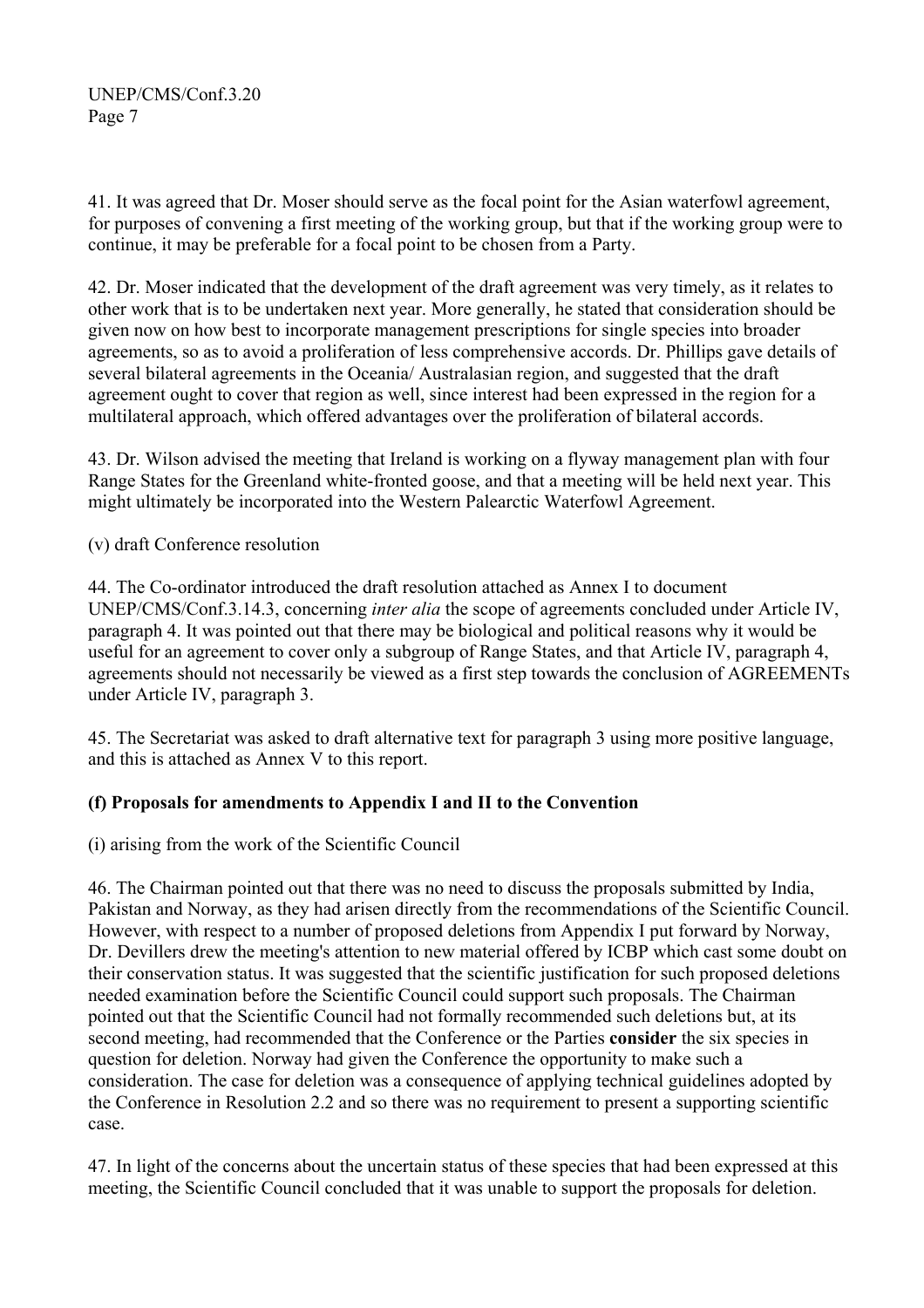41. It was agreed that Dr. Moser should serve as the focal point for the Asian waterfowl agreement, for purposes of convening a first meeting of the working group, but that if the working group were to continue, it may be preferable for a focal point to be chosen from a Party.

42. Dr. Moser indicated that the development of the draft agreement was very timely, as it relates to other work that is to be undertaken next year. More generally, he stated that consideration should be given now on how best to incorporate management prescriptions for single species into broader agreements, so as to avoid a proliferation of less comprehensive accords. Dr. Phillips gave details of several bilateral agreements in the Oceania/ Australasian region, and suggested that the draft agreement ought to cover that region as well, since interest had been expressed in the region for a multilateral approach, which offered advantages over the proliferation of bilateral accords.

43. Dr. Wilson advised the meeting that Ireland is working on a flyway management plan with four Range States for the Greenland white-fronted goose, and that a meeting will be held next year. This might ultimately be incorporated into the Western Palearctic Waterfowl Agreement.

(v) draft Conference resolution

44. The Co-ordinator introduced the draft resolution attached as Annex I to document UNEP/CMS/Conf.3.14.3, concerning *inter alia* the scope of agreements concluded under Article IV, paragraph 4. It was pointed out that there may be biological and political reasons why it would be useful for an agreement to cover only a subgroup of Range States, and that Article IV, paragraph 4, agreements should not necessarily be viewed as a first step towards the conclusion of AGREEMENTs under Article IV, paragraph 3.

45. The Secretariat was asked to draft alternative text for paragraph 3 using more positive language, and this is attached as Annex V to this report.

## **(f) Proposals for amendments to Appendix I and II to the Convention**

(i) arising from the work of the Scientific Council

46. The Chairman pointed out that there was no need to discuss the proposals submitted by India, Pakistan and Norway, as they had arisen directly from the recommendations of the Scientific Council. However, with respect to a number of proposed deletions from Appendix I put forward by Norway, Dr. Devillers drew the meeting's attention to new material offered by ICBP which cast some doubt on their conservation status. It was suggested that the scientific justification for such proposed deletions needed examination before the Scientific Council could support such proposals. The Chairman pointed out that the Scientific Council had not formally recommended such deletions but, at its second meeting, had recommended that the Conference or the Parties **consider** the six species in question for deletion. Norway had given the Conference the opportunity to make such a consideration. The case for deletion was a consequence of applying technical guidelines adopted by the Conference in Resolution 2.2 and so there was no requirement to present a supporting scientific case.

47. In light of the concerns about the uncertain status of these species that had been expressed at this meeting, the Scientific Council concluded that it was unable to support the proposals for deletion.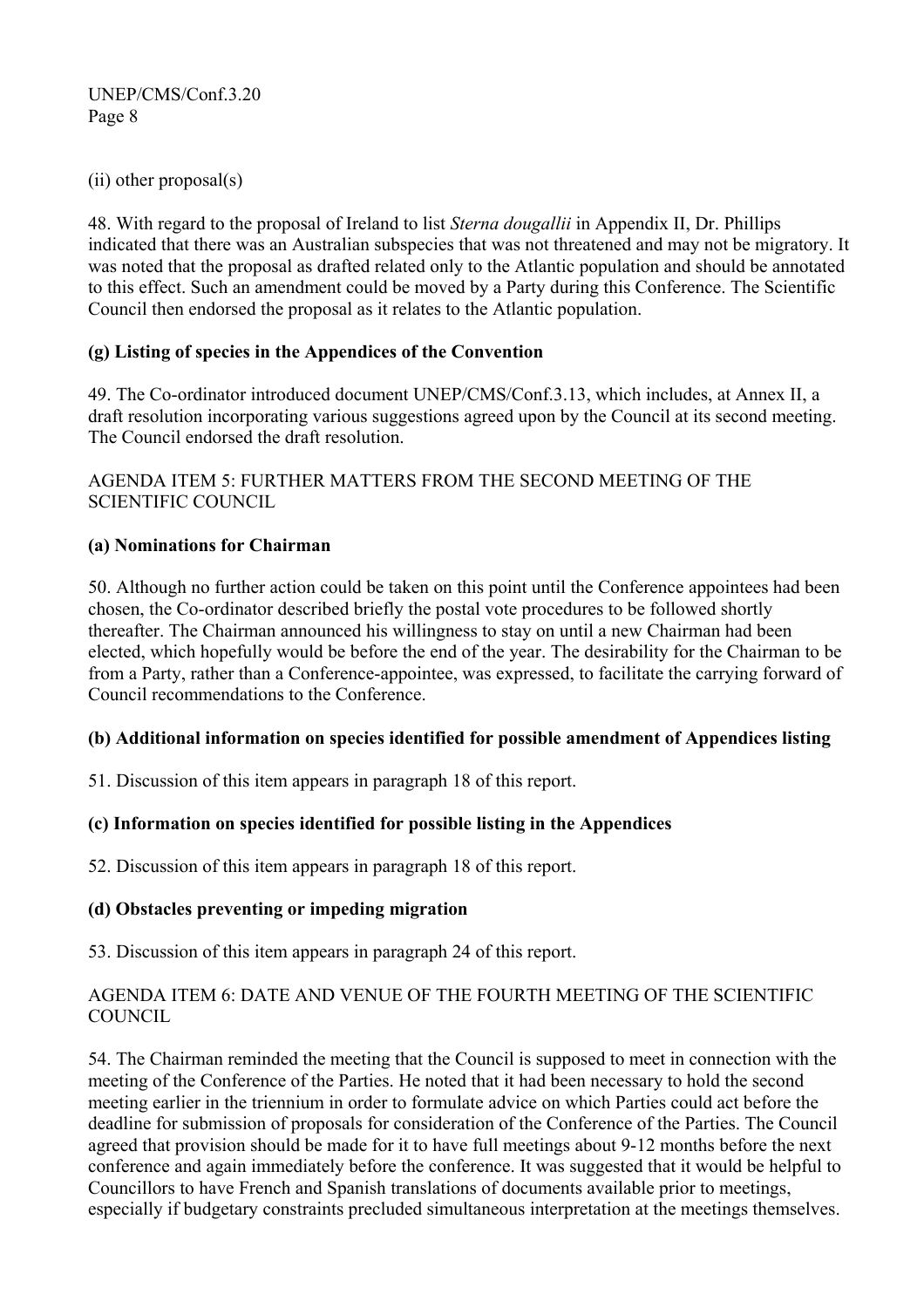(ii) other proposal(s)

48. With regard to the proposal of Ireland to list *Sterna dougallii* in Appendix II, Dr. Phillips indicated that there was an Australian subspecies that was not threatened and may not be migratory. It was noted that the proposal as drafted related only to the Atlantic population and should be annotated to this effect. Such an amendment could be moved by a Party during this Conference. The Scientific Council then endorsed the proposal as it relates to the Atlantic population.

## **(g) Listing of species in the Appendices of the Convention**

49. The Co-ordinator introduced document UNEP/CMS/Conf.3.13, which includes, at Annex II, a draft resolution incorporating various suggestions agreed upon by the Council at its second meeting. The Council endorsed the draft resolution.

## AGENDA ITEM 5: FURTHER MATTERS FROM THE SECOND MEETING OF THE SCIENTIFIC COUNCIL

## **(a) Nominations for Chairman**

50. Although no further action could be taken on this point until the Conference appointees had been chosen, the Co-ordinator described briefly the postal vote procedures to be followed shortly thereafter. The Chairman announced his willingness to stay on until a new Chairman had been elected, which hopefully would be before the end of the year. The desirability for the Chairman to be from a Party, rather than a Conference-appointee, was expressed, to facilitate the carrying forward of Council recommendations to the Conference.

### **(b) Additional information on species identified for possible amendment of Appendices listing**

51. Discussion of this item appears in paragraph 18 of this report.

## **(c) Information on species identified for possible listing in the Appendices**

52. Discussion of this item appears in paragraph 18 of this report.

### **(d) Obstacles preventing or impeding migration**

53. Discussion of this item appears in paragraph 24 of this report.

### AGENDA ITEM 6: DATE AND VENUE OF THE FOURTH MEETING OF THE SCIENTIFIC COUNCIL.

54. The Chairman reminded the meeting that the Council is supposed to meet in connection with the meeting of the Conference of the Parties. He noted that it had been necessary to hold the second meeting earlier in the triennium in order to formulate advice on which Parties could act before the deadline for submission of proposals for consideration of the Conference of the Parties. The Council agreed that provision should be made for it to have full meetings about 9-12 months before the next conference and again immediately before the conference. It was suggested that it would be helpful to Councillors to have French and Spanish translations of documents available prior to meetings, especially if budgetary constraints precluded simultaneous interpretation at the meetings themselves.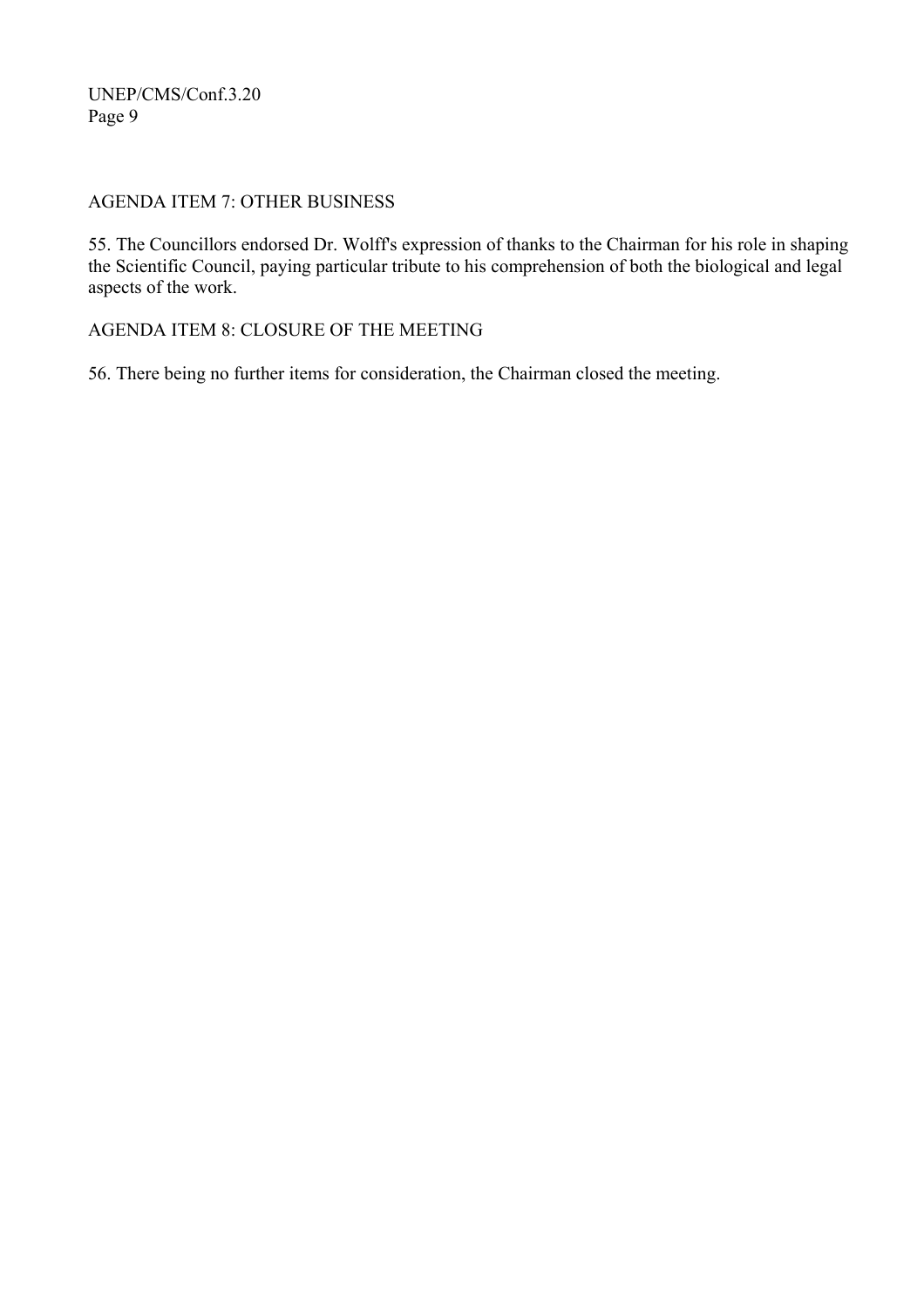### AGENDA ITEM 7: OTHER BUSINESS

55. The Councillors endorsed Dr. Wolff's expression of thanks to the Chairman for his role in shaping the Scientific Council, paying particular tribute to his comprehension of both the biological and legal aspects of the work.

AGENDA ITEM 8: CLOSURE OF THE MEETING

56. There being no further items for consideration, the Chairman closed the meeting.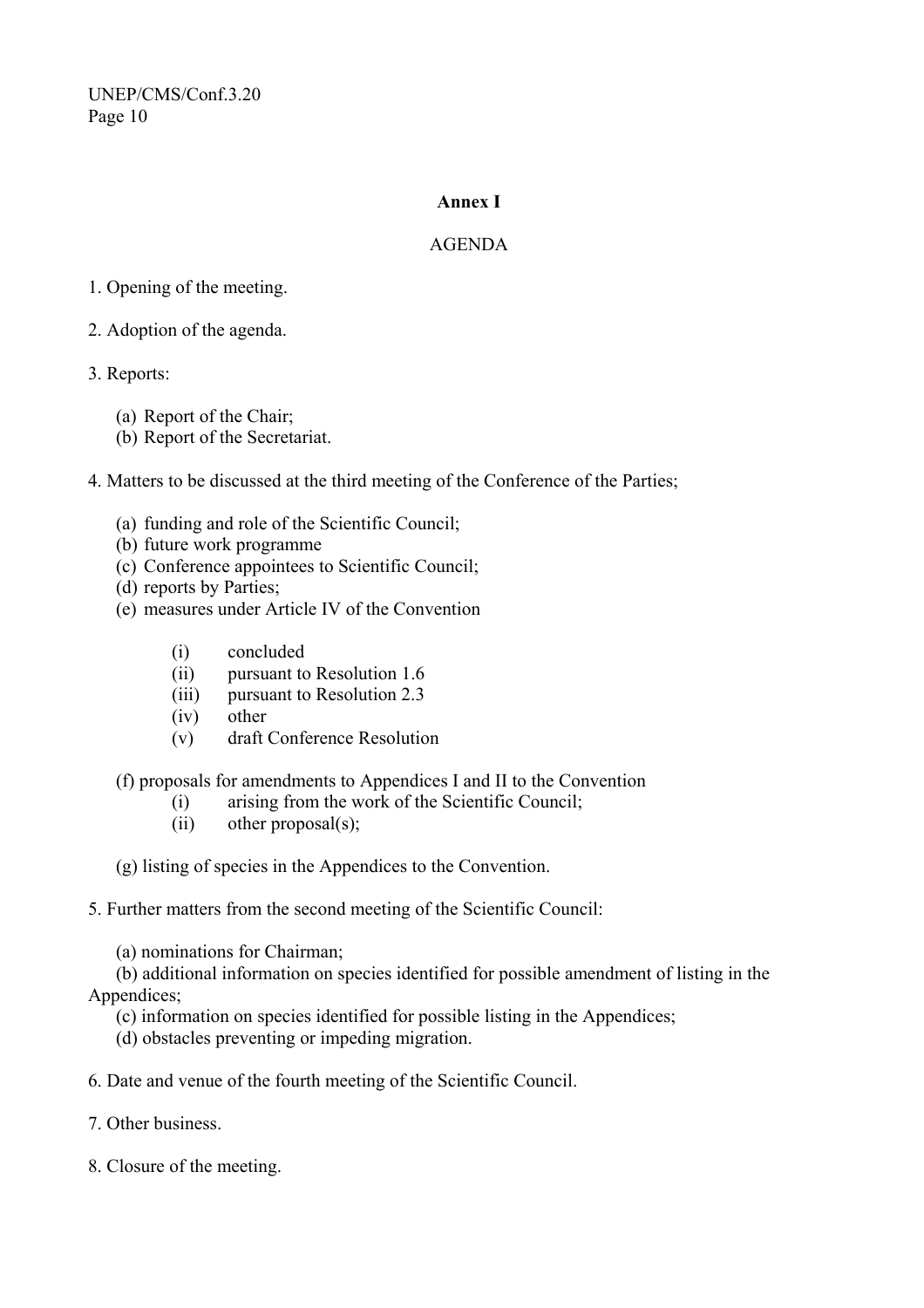#### **Annex I**

### AGENDA

### 1. Opening of the meeting.

- 2. Adoption of the agenda.
- 3. Reports:
	- (a) Report of the Chair;
	- (b) Report of the Secretariat.

4. Matters to be discussed at the third meeting of the Conference of the Parties;

- (a) funding and role of the Scientific Council;
- (b) future work programme
- (c) Conference appointees to Scientific Council;
- (d) reports by Parties;
- (e) measures under Article IV of the Convention
	- (i) concluded
	- (ii) pursuant to Resolution 1.6
	- (iii) pursuant to Resolution 2.3
	- (iv) other
	- (v) draft Conference Resolution

### (f) proposals for amendments to Appendices I and II to the Convention

- (i) arising from the work of the Scientific Council;
- (ii) other proposal(s);

(g) listing of species in the Appendices to the Convention.

#### 5. Further matters from the second meeting of the Scientific Council:

(a) nominations for Chairman;

 (b) additional information on species identified for possible amendment of listing in the Appendices;

- (c) information on species identified for possible listing in the Appendices;
- (d) obstacles preventing or impeding migration.
- 6. Date and venue of the fourth meeting of the Scientific Council.
- 7. Other business.
- 8. Closure of the meeting.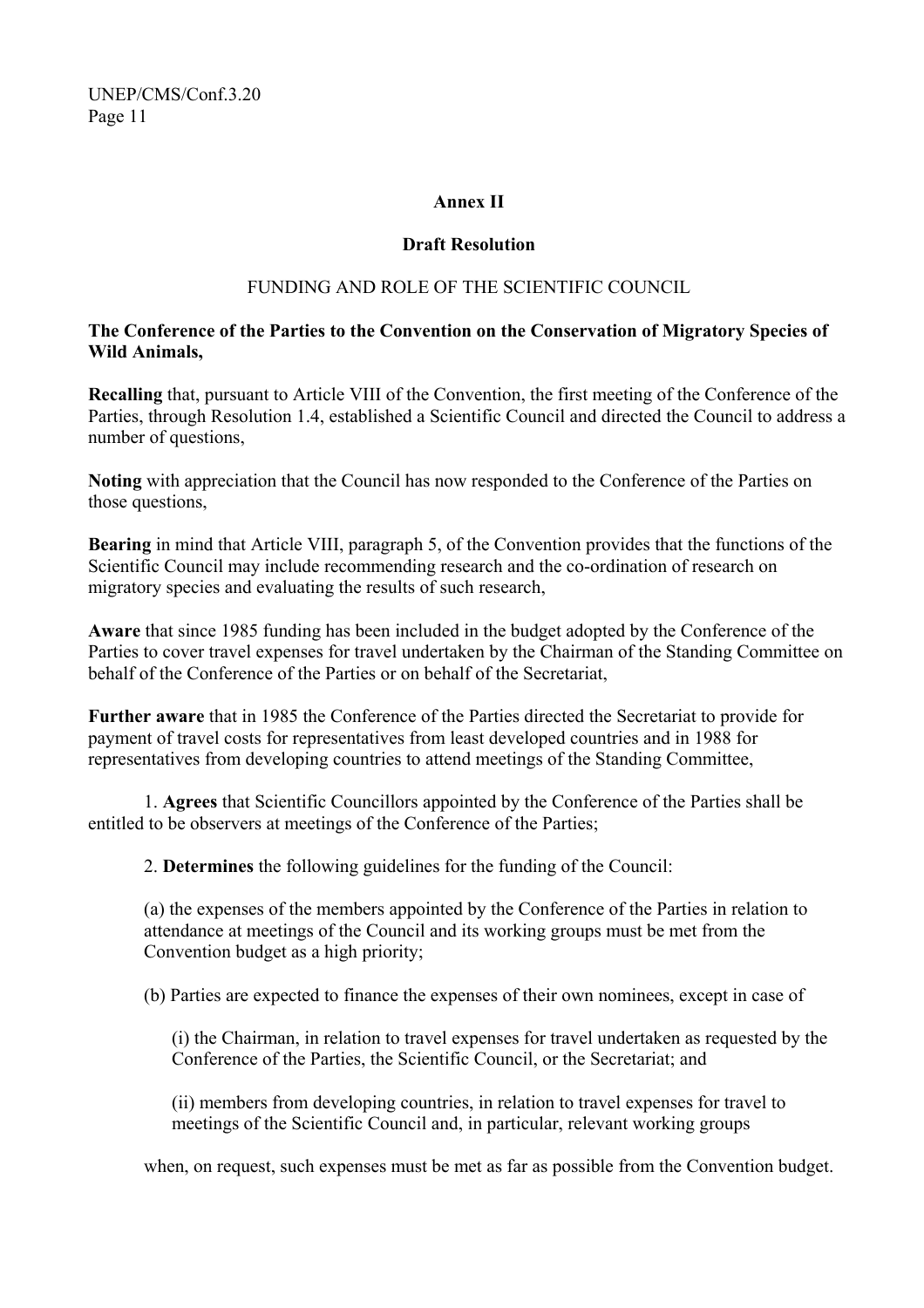#### **Annex II**

### **Draft Resolution**

## FUNDING AND ROLE OF THE SCIENTIFIC COUNCIL

### **The Conference of the Parties to the Convention on the Conservation of Migratory Species of Wild Animals,**

**Recalling** that, pursuant to Article VIII of the Convention, the first meeting of the Conference of the Parties, through Resolution 1.4, established a Scientific Council and directed the Council to address a number of questions,

**Noting** with appreciation that the Council has now responded to the Conference of the Parties on those questions,

**Bearing** in mind that Article VIII, paragraph 5, of the Convention provides that the functions of the Scientific Council may include recommending research and the co-ordination of research on migratory species and evaluating the results of such research,

**Aware** that since 1985 funding has been included in the budget adopted by the Conference of the Parties to cover travel expenses for travel undertaken by the Chairman of the Standing Committee on behalf of the Conference of the Parties or on behalf of the Secretariat

**Further aware** that in 1985 the Conference of the Parties directed the Secretariat to provide for payment of travel costs for representatives from least developed countries and in 1988 for representatives from developing countries to attend meetings of the Standing Committee,

1. **Agrees** that Scientific Councillors appointed by the Conference of the Parties shall be entitled to be observers at meetings of the Conference of the Parties;

2. **Determines** the following guidelines for the funding of the Council:

(a) the expenses of the members appointed by the Conference of the Parties in relation to attendance at meetings of the Council and its working groups must be met from the Convention budget as a high priority;

(b) Parties are expected to finance the expenses of their own nominees, except in case of

(i) the Chairman, in relation to travel expenses for travel undertaken as requested by the Conference of the Parties, the Scientific Council, or the Secretariat; and

(ii) members from developing countries, in relation to travel expenses for travel to meetings of the Scientific Council and, in particular, relevant working groups

when, on request, such expenses must be met as far as possible from the Convention budget.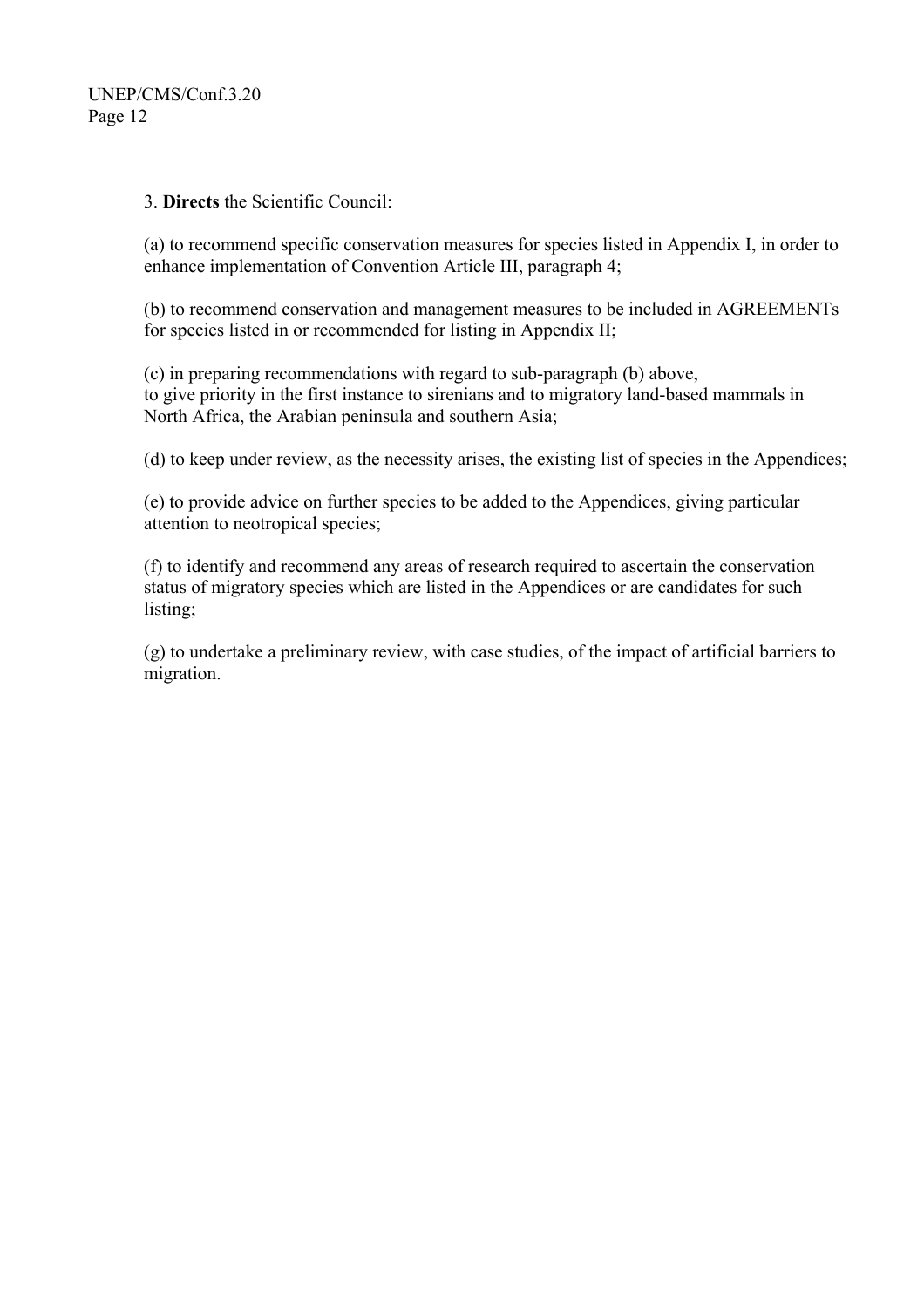### 3. **Directs** the Scientific Council:

(a) to recommend specific conservation measures for species listed in Appendix I, in order to enhance implementation of Convention Article III, paragraph 4;

(b) to recommend conservation and management measures to be included in AGREEMENTs for species listed in or recommended for listing in Appendix II;

(c) in preparing recommendations with regard to sub-paragraph (b) above, to give priority in the first instance to sirenians and to migratory land-based mammals in North Africa, the Arabian peninsula and southern Asia;

(d) to keep under review, as the necessity arises, the existing list of species in the Appendices;

(e) to provide advice on further species to be added to the Appendices, giving particular attention to neotropical species;

(f) to identify and recommend any areas of research required to ascertain the conservation status of migratory species which are listed in the Appendices or are candidates for such listing;

(g) to undertake a preliminary review, with case studies, of the impact of artificial barriers to migration.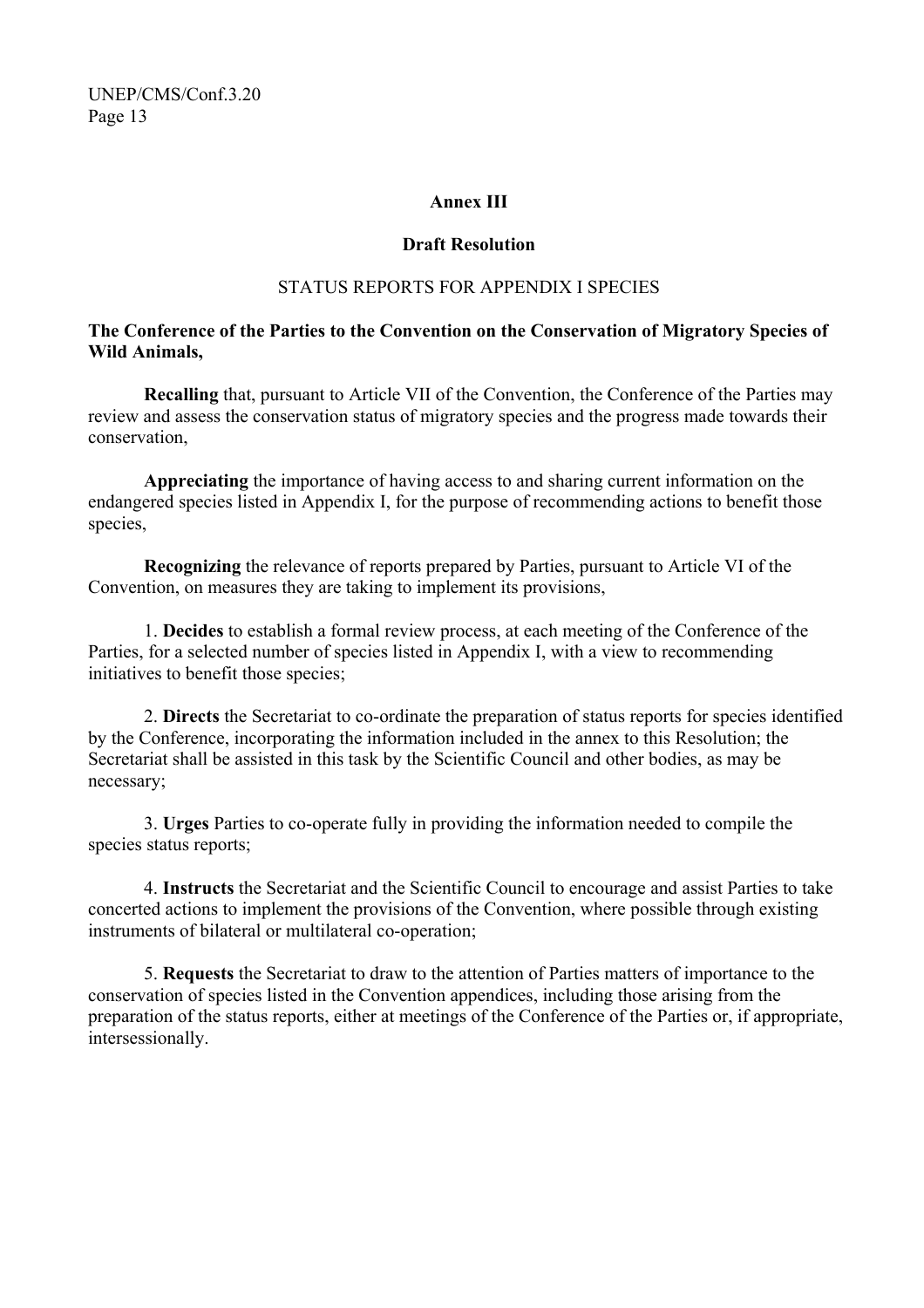#### **Annex III**

#### **Draft Resolution**

#### STATUS REPORTS FOR APPENDIX I SPECIES

### **The Conference of the Parties to the Convention on the Conservation of Migratory Species of Wild Animals,**

**Recalling** that, pursuant to Article VII of the Convention, the Conference of the Parties may review and assess the conservation status of migratory species and the progress made towards their conservation,

**Appreciating** the importance of having access to and sharing current information on the endangered species listed in Appendix I, for the purpose of recommending actions to benefit those species,

**Recognizing** the relevance of reports prepared by Parties, pursuant to Article VI of the Convention, on measures they are taking to implement its provisions,

1. **Decides** to establish a formal review process, at each meeting of the Conference of the Parties, for a selected number of species listed in Appendix I, with a view to recommending initiatives to benefit those species;

2. **Directs** the Secretariat to co-ordinate the preparation of status reports for species identified by the Conference, incorporating the information included in the annex to this Resolution; the Secretariat shall be assisted in this task by the Scientific Council and other bodies, as may be necessary;

3. **Urges** Parties to co-operate fully in providing the information needed to compile the species status reports;

4. **Instructs** the Secretariat and the Scientific Council to encourage and assist Parties to take concerted actions to implement the provisions of the Convention, where possible through existing instruments of bilateral or multilateral co-operation;

5. **Requests** the Secretariat to draw to the attention of Parties matters of importance to the conservation of species listed in the Convention appendices, including those arising from the preparation of the status reports, either at meetings of the Conference of the Parties or, if appropriate, intersessionally.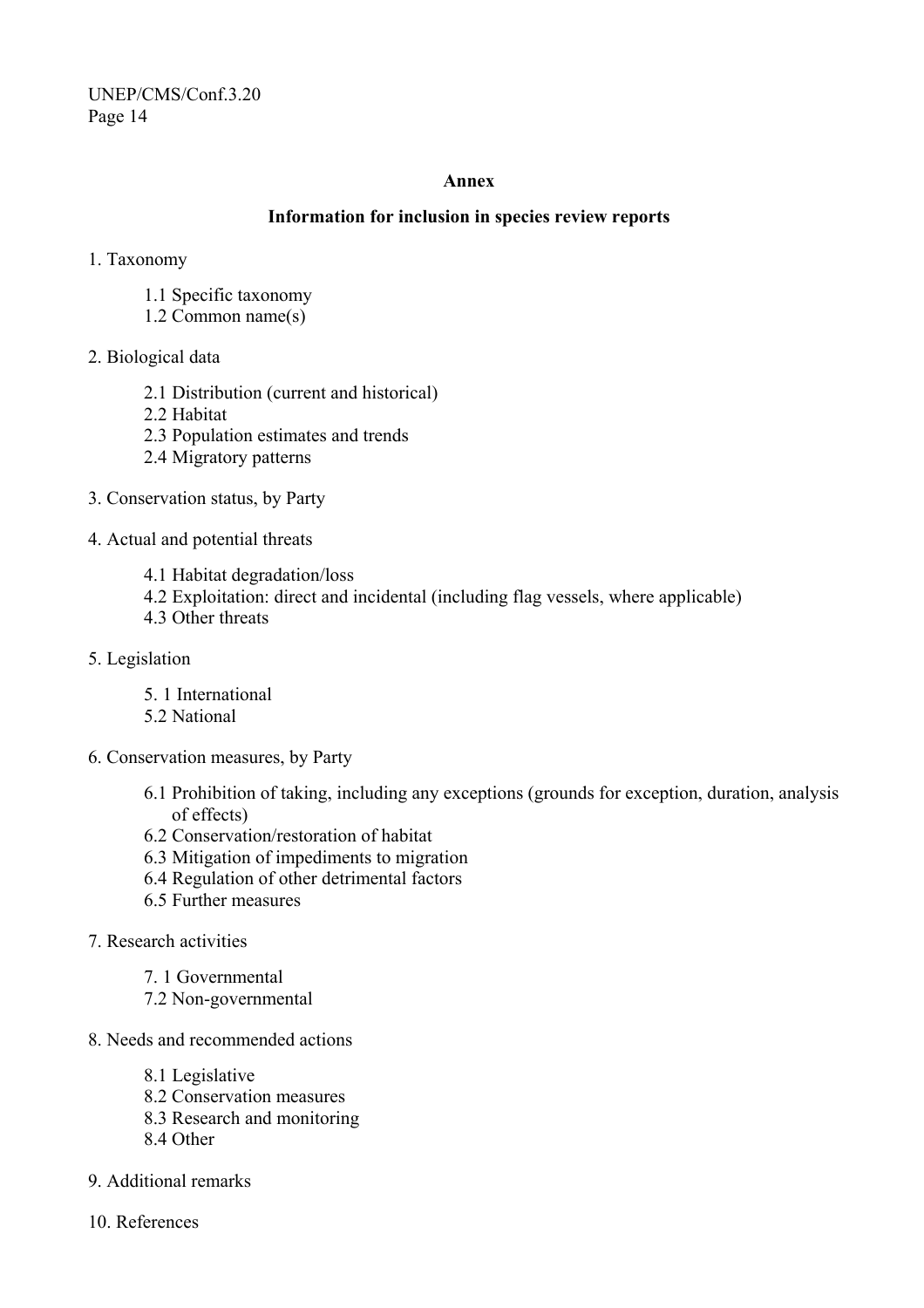#### **Annex**

#### **Information for inclusion in species review reports**

- 1. Taxonomy
	- 1.1 Specific taxonomy
	- 1.2 Common name(s)
- 2. Biological data
	- 2.1 Distribution (current and historical)
	- 2.2 Habitat
	- 2.3 Population estimates and trends
	- 2.4 Migratory patterns
- 3. Conservation status, by Party
- 4. Actual and potential threats
	- 4.1 Habitat degradation/loss
	- 4.2 Exploitation: direct and incidental (including flag vessels, where applicable)
	- 4.3 Other threats
- 5. Legislation
	- 5. 1 International
	- 5.2 National
- 6. Conservation measures, by Party
	- 6.1 Prohibition of taking, including any exceptions (grounds for exception, duration, analysis of effects)
	- 6.2 Conservation/restoration of habitat
	- 6.3 Mitigation of impediments to migration
	- 6.4 Regulation of other detrimental factors
	- 6.5 Further measures
- 7. Research activities
	- 7. 1 Governmental
	- 7.2 Non-governmental
- 8. Needs and recommended actions
	- 8.1 Legislative
	- 8.2 Conservation measures
	- 8.3 Research and monitoring
	- 8.4 Other
- 9. Additional remarks
- 10. References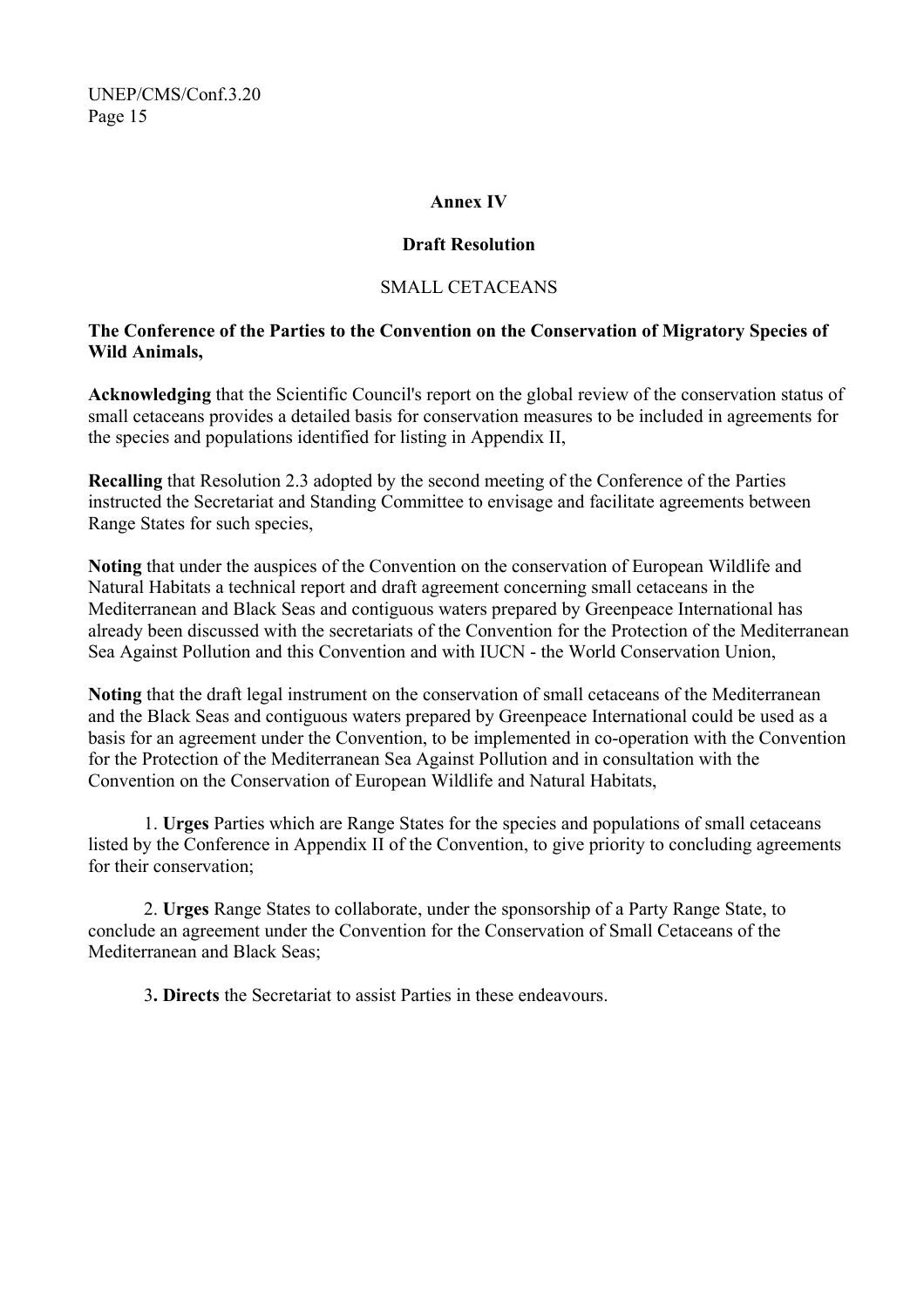#### **Annex IV**

#### **Draft Resolution**

## SMALL CETACEANS

### **The Conference of the Parties to the Convention on the Conservation of Migratory Species of Wild Animals,**

**Acknowledging** that the Scientific Council's report on the global review of the conservation status of small cetaceans provides a detailed basis for conservation measures to be included in agreements for the species and populations identified for listing in Appendix II,

**Recalling** that Resolution 2.3 adopted by the second meeting of the Conference of the Parties instructed the Secretariat and Standing Committee to envisage and facilitate agreements between Range States for such species,

**Noting** that under the auspices of the Convention on the conservation of European Wildlife and Natural Habitats a technical report and draft agreement concerning small cetaceans in the Mediterranean and Black Seas and contiguous waters prepared by Greenpeace International has already been discussed with the secretariats of the Convention for the Protection of the Mediterranean Sea Against Pollution and this Convention and with IUCN - the World Conservation Union,

**Noting** that the draft legal instrument on the conservation of small cetaceans of the Mediterranean and the Black Seas and contiguous waters prepared by Greenpeace International could be used as a basis for an agreement under the Convention, to be implemented in co-operation with the Convention for the Protection of the Mediterranean Sea Against Pollution and in consultation with the Convention on the Conservation of European Wildlife and Natural Habitats,

1. **Urges** Parties which are Range States for the species and populations of small cetaceans listed by the Conference in Appendix II of the Convention, to give priority to concluding agreements for their conservation;

2. **Urges** Range States to collaborate, under the sponsorship of a Party Range State, to conclude an agreement under the Convention for the Conservation of Small Cetaceans of the Mediterranean and Black Seas;

3**. Directs** the Secretariat to assist Parties in these endeavours.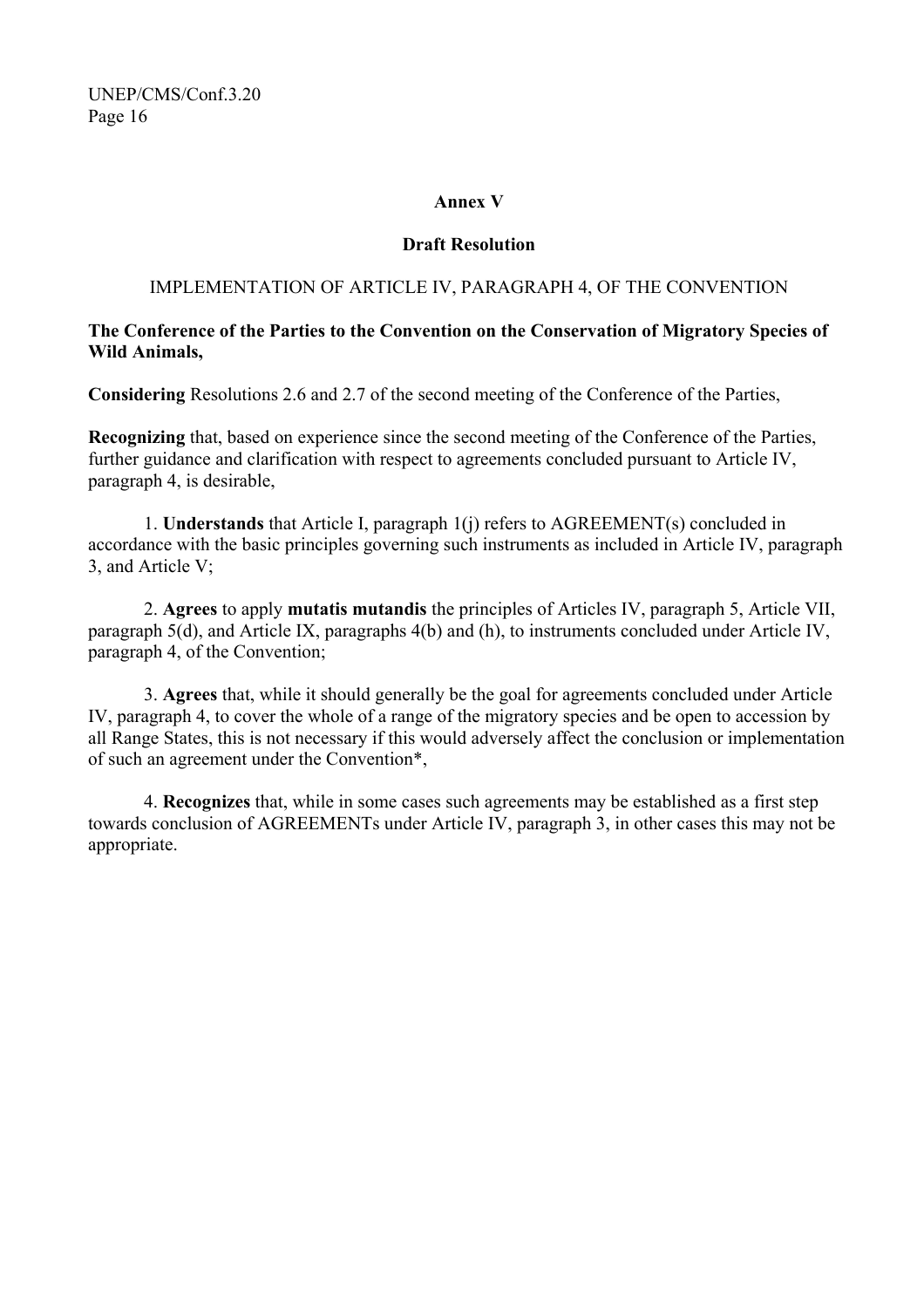#### **Annex V**

#### **Draft Resolution**

#### IMPLEMENTATION OF ARTICLE IV, PARAGRAPH 4, OF THE CONVENTION

#### **The Conference of the Parties to the Convention on the Conservation of Migratory Species of Wild Animals,**

**Considering** Resolutions 2.6 and 2.7 of the second meeting of the Conference of the Parties,

**Recognizing** that, based on experience since the second meeting of the Conference of the Parties, further guidance and clarification with respect to agreements concluded pursuant to Article IV, paragraph 4, is desirable,

1. **Understands** that Article I, paragraph 1(j) refers to AGREEMENT(s) concluded in accordance with the basic principles governing such instruments as included in Article IV, paragraph 3, and Article V;

2. **Agrees** to apply **mutatis mutandis** the principles of Articles IV, paragraph 5, Article VII, paragraph 5(d), and Article IX, paragraphs 4(b) and (h), to instruments concluded under Article IV, paragraph 4, of the Convention;

3. **Agrees** that, while it should generally be the goal for agreements concluded under Article IV, paragraph 4, to cover the whole of a range of the migratory species and be open to accession by all Range States, this is not necessary if this would adversely affect the conclusion or implementation of such an agreement under the Convention\*,

4. **Recognizes** that, while in some cases such agreements may be established as a first step towards conclusion of AGREEMENTs under Article IV, paragraph 3, in other cases this may not be appropriate.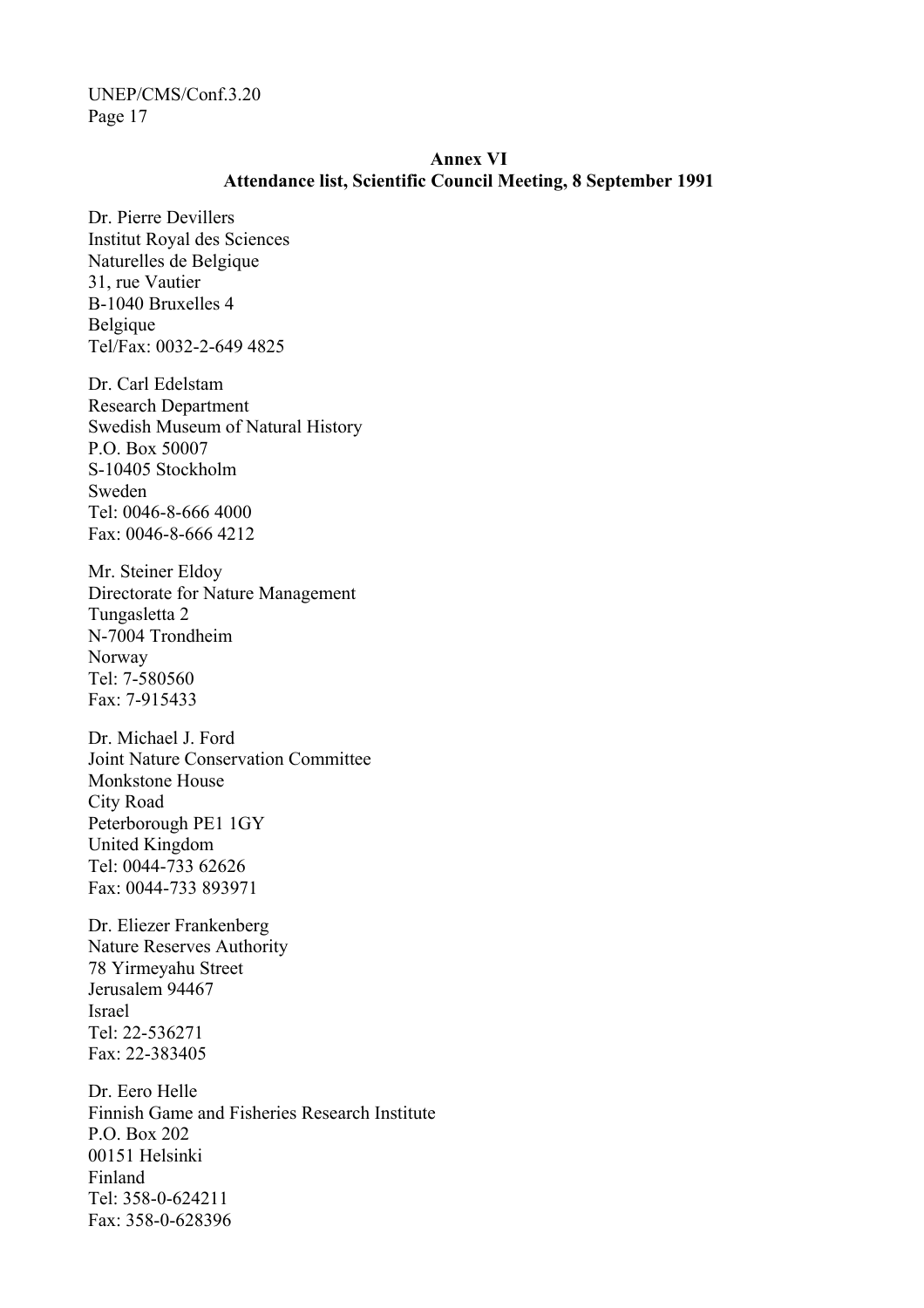#### **Annex VI Attendance list, Scientific Council Meeting, 8 September 1991**

Dr. Pierre Devillers Institut Royal des Sciences Naturelles de Belgique 31, rue Vautier B-1040 Bruxelles 4 Belgique Tel/Fax: 0032-2-649 4825

Dr. Carl Edelstam Research Department Swedish Museum of Natural History P.O. Box 50007 S-10405 Stockholm Sweden Tel: 0046-8-666 4000 Fax: 0046-8-666 4212

Mr. Steiner Eldoy Directorate for Nature Management Tungasletta 2 N-7004 Trondheim Norway Tel: 7-580560 Fax: 7-915433

Dr. Michael J. Ford Joint Nature Conservation Committee Monkstone House City Road Peterborough PE1 1GY United Kingdom Tel: 0044-733 62626 Fax: 0044-733 893971

Dr. Eliezer Frankenberg Nature Reserves Authority 78 Yirmeyahu Street Jerusalem 94467 Israel Tel: 22-536271 Fax: 22-383405

Dr. Eero Helle Finnish Game and Fisheries Research Institute P.O. Box 202 00151 Helsinki Finland Tel: 358-0-624211 Fax: 358-0-628396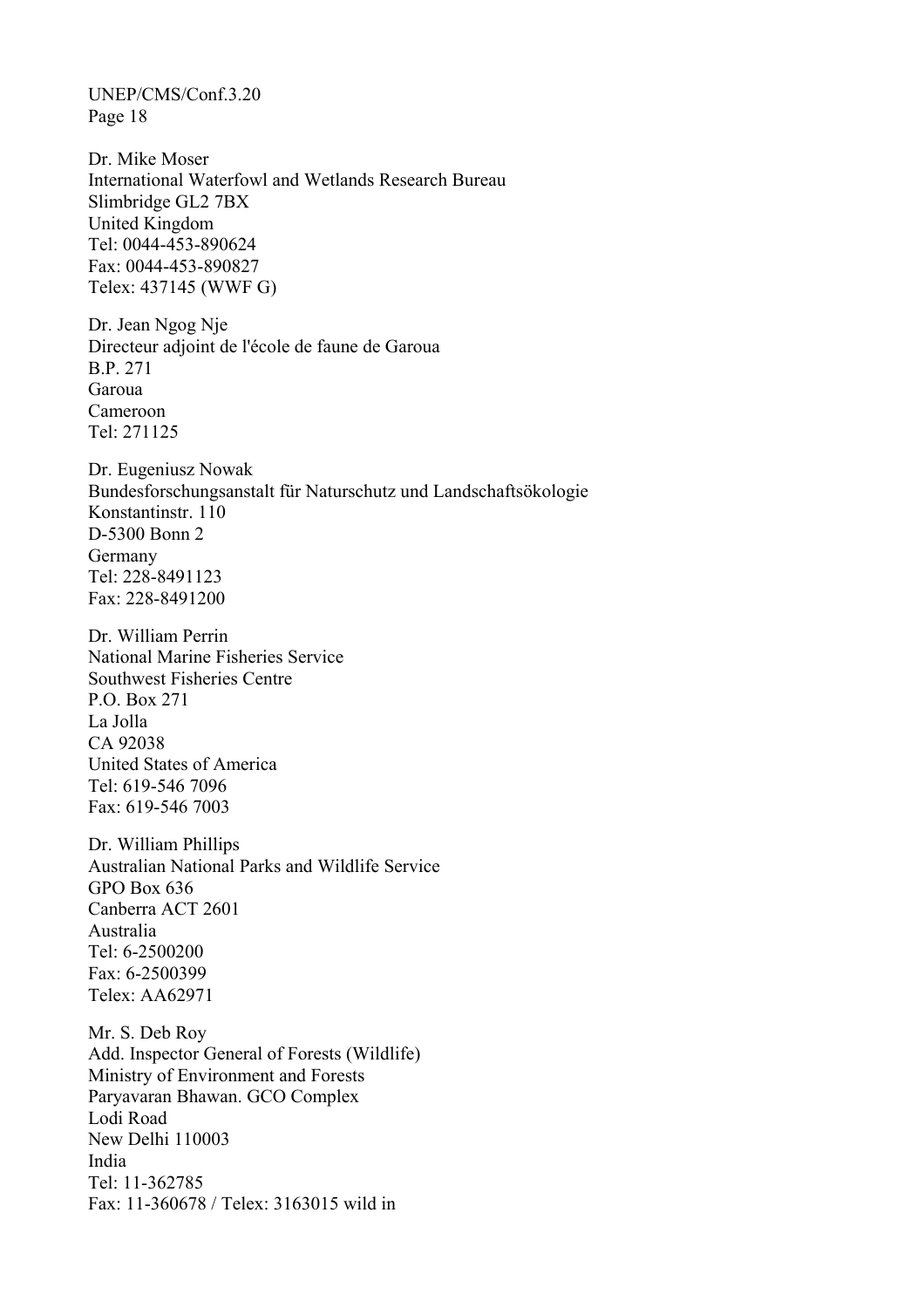Dr. Mike Moser International Waterfowl and Wetlands Research Bureau Slimbridge GL2 7BX United Kingdom Tel: 0044-453-890624 Fax: 0044-453-890827 Telex: 437145 (WWF G)

Dr. Jean Ngog Nje Directeur adjoint de l'école de faune de Garoua B.P. 271 Garoua Cameroon Tel: 271125

Dr. Eugeniusz Nowak Bundesforschungsanstalt für Naturschutz und Landschaftsökologie Konstantinstr. 110 D-5300 Bonn 2 Germany Tel: 228-8491123 Fax: 228-8491200

Dr. William Perrin National Marine Fisheries Service Southwest Fisheries Centre P.O. Box 271 La Jolla CA 92038 United States of America Tel: 619-546 7096 Fax: 619-546 7003

Dr. William Phillips Australian National Parks and Wildlife Service GPO Box 636 Canberra ACT 2601 Australia Tel: 6-2500200 Fax: 6-2500399 Telex: AA62971

Mr. S. Deb Roy Add. Inspector General of Forests (Wildlife) Ministry of Environment and Forests Paryavaran Bhawan. GCO Complex Lodi Road New Delhi 110003 India Tel: 11-362785 Fax: 11-360678 / Telex: 3163015 wild in